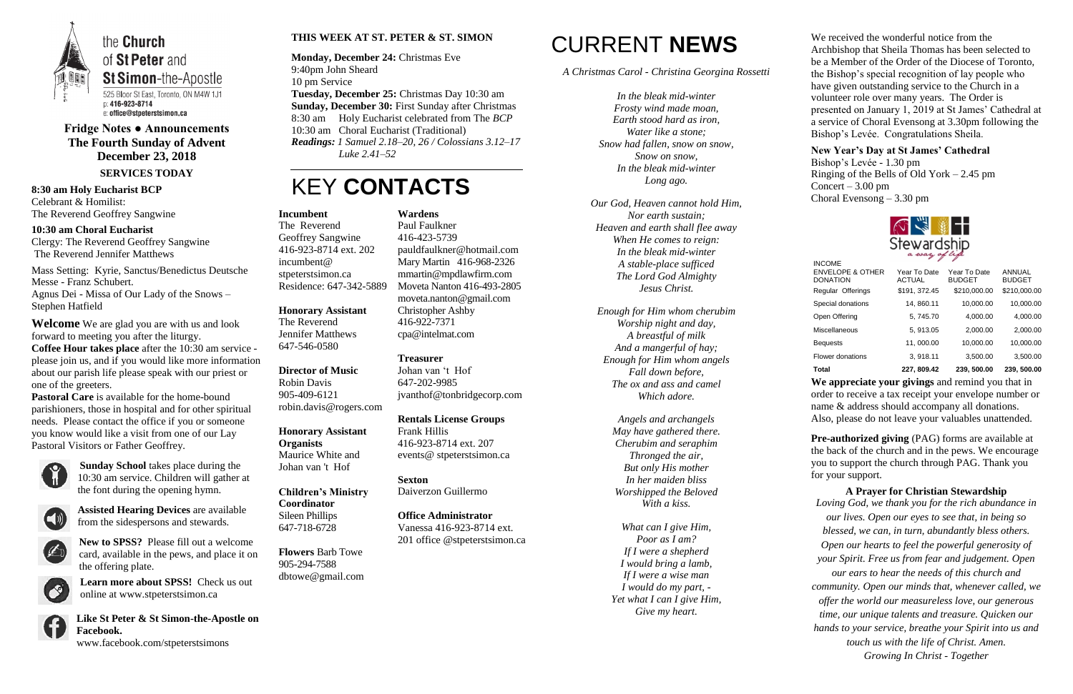

of St Peter and **St Simon-the-Apostle** 525 Bloor St East, Toronto, ON M4W 1J1 e: office@stpeterstsimon.ca

**Fridge Notes ● Announcements The Fourth Sunday of Advent December 23, 2018 SERVICES TODAY**

**8:30 am Holy Eucharist BCP** Celebrant & Homilist: The Reverend Geoffrey Sangwine

**10:30 am Choral Eucharist** Clergy: The Reverend Geoffrey Sangwine The Reverend Jennifer Matthews

Mass Setting: Kyrie, Sanctus/Benedictus Deutsche Messe - Franz Schubert.

Agnus Dei - Missa of Our Lady of the Snows – Stephen Hatfield

**Welcome** We are glad you are with us and look forward to meeting you after the liturgy. **Coffee Hour takes place** after the 10:30 am service please join us, and if you would like more information about our parish life please speak with our priest or one of the greeters.

**Pastoral Care** is available for the home-bound parishioners, those in hospital and for other spiritual needs. Please contact the office if you or someone you know would like a visit from one of our Lay Pastoral Visitors or Father Geoffrey.



**Sunday School** takes place during the 10:30 am service. Children will gather at the font during the opening hymn.



**Assisted Hearing Devices** are available from the sidespersons and stewards.



**New to SPSS?** Please fill out a welcome card, available in the pews, and place it on the offering plate.

**Learn more about SPSS!** Check us out online at www.stpeterstsimon.ca

**Like St Peter & St Simon-the-Apostle on Facebook.**  www.facebook.com/stpeterstsimons

### **THIS WEEK AT ST. PETER & ST. SIMON**

**Monday, December 24:** Christmas Eve 9:40pm John Sheard 10 pm Service **Tuesday, December 25:** Christmas Day 10:30 am **Sunday, December 30:** First Sunday after Christmas 8:30 am Holy Eucharist celebrated from The *BCP* 10:30 am Choral Eucharist (Traditional) *Readings: 1 Samuel 2.18–20, 26 / Colossians 3.12–17 Luke 2.41–52*

## KEY **CONTACTS**

# CURRENT **NEWS**

*A Christmas Carol - Christina Georgina Rossetti*

**Pre-authorized giving (PAG) forms are available at** the back of the church and in the pews. We encourage you to support the church through PAG. Thank you for your support.

*In the bleak mid-winter Frosty wind made moan, Earth stood hard as iron, Water like a stone; Snow had fallen, snow on snow, Snow on snow, In the bleak mid-winter Long ago.*

*Our God, Heaven cannot hold Him, Nor earth sustain; Heaven and earth shall flee away When He comes to reign: In the bleak mid-winter A stable-place sufficed The Lord God Almighty Jesus Christ.*

*Enough for Him whom cherubim Worship night and day, A breastful of milk And a mangerful of hay; Enough for Him whom angels Fall down before, The ox and ass and camel Which adore.*

> *Angels and archangels May have gathered there. Cherubim and seraphim Thronged the air, But only His mother In her maiden bliss Worshipped the Beloved With a kiss.*

> *What can I give Him, Poor as I am? If I were a shepherd I would bring a lamb, If I were a wise man I would do my part, - Yet what I can I give Him, Give my heart.*



We received the wonderful notice from the Archbishop that Sheila Thomas has been selected to be a Member of the Order of the Diocese of Toronto, the Bishop's special recognition of lay people who have given outstanding service to the Church in a volunteer role over many years. The Order is presented on January 1, 2019 at St James' Cathedral at a service of Choral Evensong at 3.30pm following the Bishop's Levée. Congratulations Sheila.

**New Year's Day at St James' Cathedral** Bishop's Levée - 1.30 pm Ringing of the Bells of Old York – 2.45 pm Concert –  $3.00 \text{ pm}$ Choral Evensong – 3.30 pm



**We appreciate your givings** and remind you that in order to receive a tax receipt your envelope number or name & address should accompany all donations. Also, please do not leave your valuables unattended.

**A Prayer for Christian Stewardship** *Loving God, we thank you for the rich abundance in our lives. Open our eyes to see that, in being so blessed, we can, in turn, abundantly bless others. Open our hearts to feel the powerful generosity of your Spirit. Free us from fear and judgement. Open our ears to hear the needs of this church and community. Open our minds that, whenever called, we offer the world our measureless love, our generous time, our unique talents and treasure. Quicken our hands to your service, breathe your Spirit into us and touch us with the life of Christ. Amen. Growing In Christ - Together*

#### **Incumbent**

The Reverend Geoffrey Sangwine 416-923-8714 ext. 202 incumbent@ stpeterstsimon.ca Residence: 647-342-5889

**Honorary Assistant** The Reverend Jennifer Matthews 647-546-0580

**Director of Music**  Robin Davis 905-409-6121 robin.davis@rogers.com

**Honorary Assistant Organists**  Maurice White and Johan van 't Hof

**Children's Ministry Coordinator** Sileen Phillips 647-718-6728

**Flowers** Barb Towe 905-294-7588 dbtowe@gmail.com

**Wardens**  Paul Faulkner 416-423-5739 [pauldfaulkner@hotmail.com](mailto:pauldfaulkner@hotmail.com)  Mary Martin 416-968-2326 mmartin@mpdlawfirm.com Moveta Nanton 416-493-2805 moveta.nanton@gmail.com Christopher Ashby 416-922-7371 cpa@intelmat.com

**Treasurer**  Johan van 't Hof 647-202-9985 jvanthof@tonbridgecorp.com

**Rentals License Groups** Frank Hillis 416-923-8714 ext. 207 events@ stpeterstsimon.ca

**Sexton** Daiverzon Guillermo

**Office Administrator** Vanessa 416-923-8714 ext. 201 office @stpeterstsimon.ca

| <b>INCOME</b>                                  |                               |                               |                         |
|------------------------------------------------|-------------------------------|-------------------------------|-------------------------|
| <b>ENVELOPE &amp; OTHER</b><br><b>DONATION</b> | Year To Date<br><b>ACTUAL</b> | Year To Date<br><b>BUDGET</b> | ANNUAL<br><b>BUDGET</b> |
| Regular Offerings                              | \$191, 372.45                 | \$210,000.00                  | \$210,000.00            |
| Special donations                              | 14, 860.11                    | 10,000.00                     | 10,000.00               |
| Open Offering                                  | 5, 745.70                     | 4,000.00                      | 4,000.00                |
| <b>Miscellaneous</b>                           | 5, 913.05                     | 2,000.00                      | 2,000.00                |
| <b>Bequests</b>                                | 11,000.00                     | 10,000.00                     | 10,000.00               |
| Flower donations                               | 3, 918.11                     | 3,500.00                      | 3,500.00                |
| <b>Total</b>                                   | 227, 809.42                   | 239, 500.00                   | 239, 500.00             |